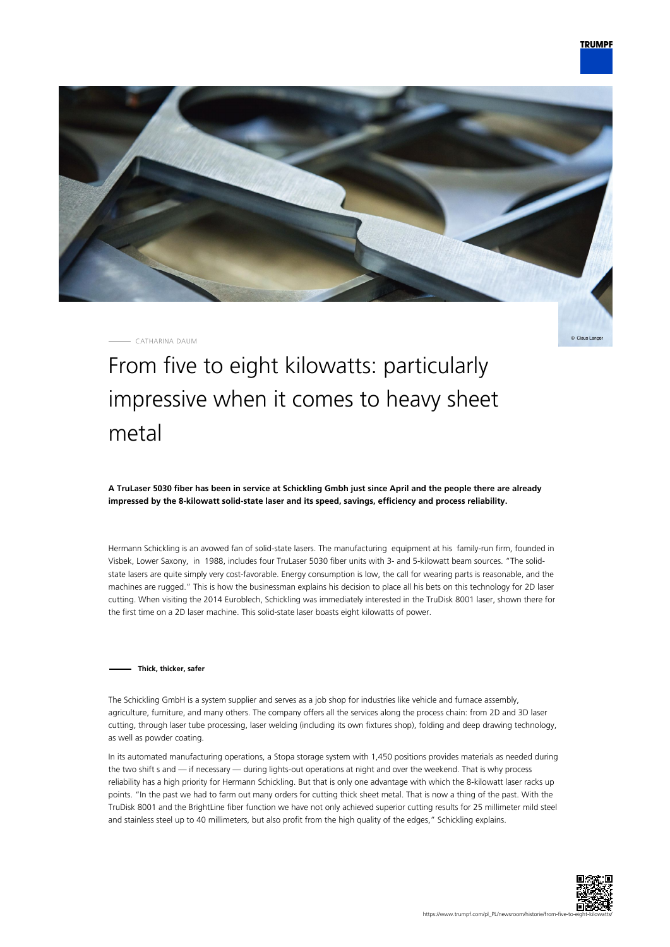

CATHARINA DAUM

Claus Lange

# From five to eight kilowatts: particularly impressive when it comes to heavy sheet metal

**A TruLaser 5030 fiber has been in service at Schickling Gmbh just since April and the people there are already impressed by the 8-kilowatt solid-state laser and its speed, savings, efficiency and process reliability.**

Hermann Schickling is an avowed fan of solid-state lasers. The manufacturing equipment at his family-run firm, founded in Visbek, Lower Saxony, in 1988, includes four TruLaser 5030 fiber units with 3- and 5-kilowatt beam sources. "The solidstate lasers are quite simply very cost-favorable. Energy consumption is low, the call for wearing parts is reasonable, and the machines are rugged." This is how the businessman explains his decision to place all his bets on this technology for 2D laser cutting. When visiting the 2014 Euroblech, Schickling was immediately interested in the TruDisk 8001 laser, shown there for the first time on a 2D laser machine. This solid-state laser boasts eight kilowatts of power.

#### **Thick, thicker, safer**

The Schickling GmbH is a system supplier and serves as a job shop for industries like vehicle and furnace assembly, agriculture, furniture, and many others. The company offers all the services along the process chain: from 2D and 3D laser cutting, through laser tube processing, laser welding (including its own fixtures shop), folding and deep drawing technology, as well as powder coating.

In its automated manufacturing operations, a Stopa storage system with 1,450 positions provides materials as needed during the two shift s and — if necessary — during lights-out operations at night and over the weekend. That is why process reliability has a high priority for Hermann Schickling. But that is only one advantage with which the 8-kilowatt laser racks up points. "In the past we had to farm out many orders for cutting thick sheet metal. That is now a thing of the past. With the TruDisk 8001 and the BrightLine fiber function we have not only achieved superior cutting results for 25 millimeter mild steel and stainless steel up to 40 millimeters, but also profit from the high quality of the edges," Schickling explains.

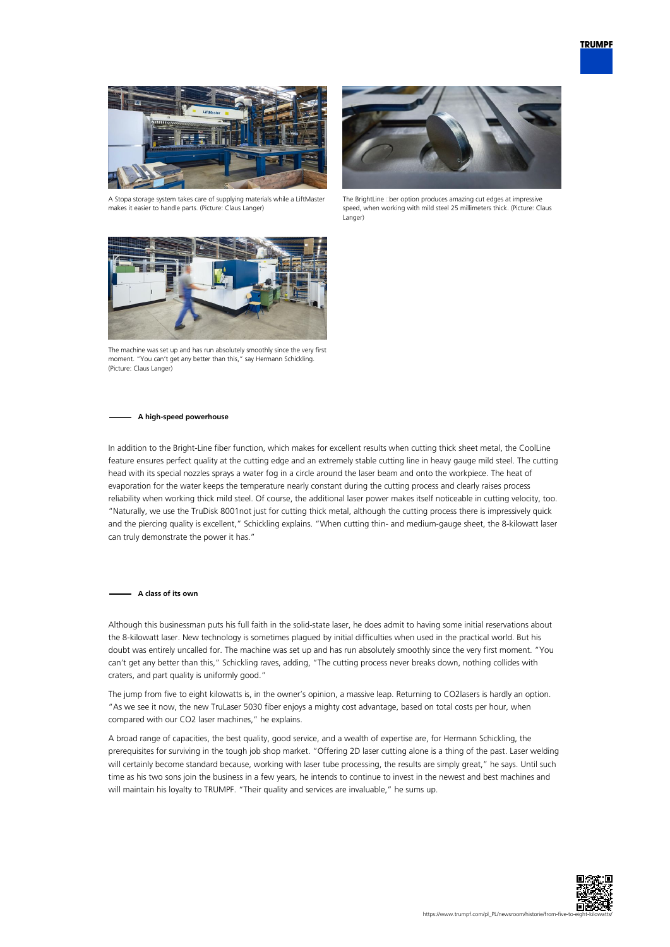

A Stopa storage system takes care of supplying materials while a LiftMaster makes it easier to handle parts. (Picture: Claus Langer)



The BrightLine ciber option produces amazing cut edges at impressive speed, when working with mild steel 25 millimeters thick. (Picture: Claus Langer)



The machine was set up and has run absolutely smoothly since the very first moment. "You can't get any better than this," say Hermann Schickling. (Picture: Claus Langer)

#### **A high-speed powerhouse**

In addition to the Bright-Line fiber function, which makes for excellent results when cutting thick sheet metal, the CoolLine feature ensures perfect quality at the cutting edge and an extremely stable cutting line in heavy gauge mild steel. The cutting head with its special nozzles sprays a water fog in a circle around the laser beam and onto the workpiece. The heat of evaporation for the water keeps the temperature nearly constant during the cutting process and clearly raises process reliability when working thick mild steel. Of course, the additional laser power makes itself noticeable in cutting velocity, too. "Naturally, we use the TruDisk 8001not just for cutting thick metal, although the cutting process there is impressively quick and the piercing quality is excellent," Schickling explains. "When cutting thin- and medium-gauge sheet, the 8-kilowatt laser can truly demonstrate the power it has."

#### **A class of its own**

Although this businessman puts his full faith in the solid-state laser, he does admit to having some initial reservations about the 8-kilowatt laser. New technology is sometimes plagued by initial difficulties when used in the practical world. But his doubt was entirely uncalled for. The machine was set up and has run absolutely smoothly since the very first moment. "You can't get any better than this," Schickling raves, adding, "The cutting process never breaks down, nothing collides with craters, and part quality is uniformly good."

The jump from five to eight kilowatts is, in the owner's opinion, a massive leap. Returning to CO2lasers is hardly an option. "As we see it now, the new TruLaser 5030 fiber enjoys a mighty cost advantage, based on total costs per hour, when compared with our CO2 laser machines," he explains.

A broad range of capacities, the best quality, good service, and a wealth of expertise are, for Hermann Schickling, the prerequisites for surviving in the tough job shop market. "Offering 2D laser cutting alone is a thing of the past. Laser welding will certainly become standard because, working with laser tube processing, the results are simply great," he says. Until such time as his two sons join the business in a few years, he intends to continue to invest in the newest and best machines and will maintain his loyalty to TRUMPF. "Their quality and services are invaluable," he sums up.